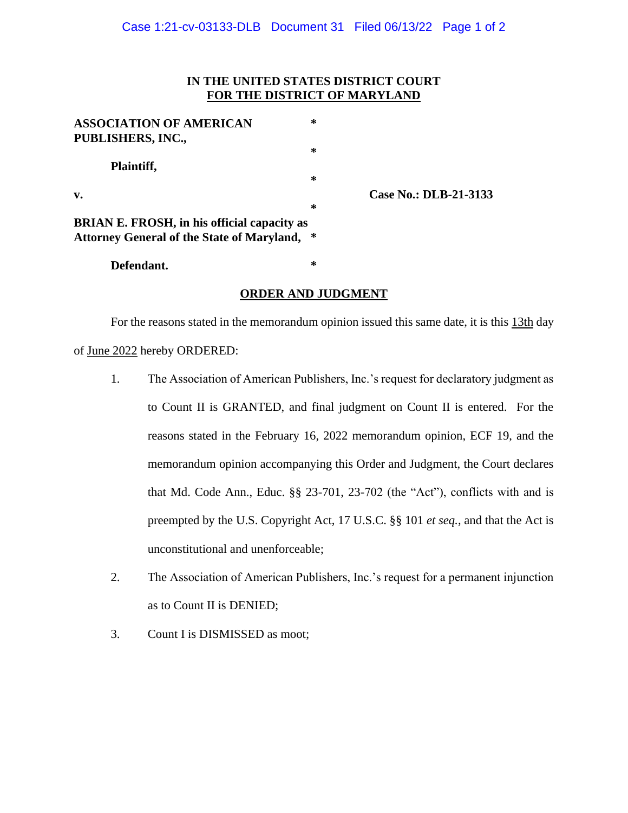## **IN THE UNITED STATES DISTRICT COURT FOR THE DISTRICT OF MARYLAND**

| <b>ASSOCIATION OF AMERICAN</b><br><b>PUBLISHERS, INC.,</b>                                              | ∗      |
|---------------------------------------------------------------------------------------------------------|--------|
| Plaintiff,                                                                                              | ∗<br>∗ |
| $\mathbf{v}$ .                                                                                          | ∗      |
| <b>BRIAN E. FROSH, in his official capacity as</b><br><b>Attorney General of the State of Maryland,</b> | ∗      |
| Defendant.                                                                                              | ∗      |

**v. Case No.: DLB-21-3133**

## **ORDER AND JUDGMENT**

For the reasons stated in the memorandum opinion issued this same date, it is this 13th day of June 2022 hereby ORDERED:

- 1. The Association of American Publishers, Inc.'s request for declaratory judgment as to Count II is GRANTED, and final judgment on Count II is entered. For the reasons stated in the February 16, 2022 memorandum opinion, ECF 19, and the memorandum opinion accompanying this Order and Judgment, the Court declares that Md. Code Ann., Educ. §§ 23-701, 23-702 (the "Act"), conflicts with and is preempted by the U.S. Copyright Act, 17 U.S.C. §§ 101 *et seq.*, and that the Act is unconstitutional and unenforceable;
- 2. The Association of American Publishers, Inc.'s request for a permanent injunction as to Count II is DENIED;
- 3. Count I is DISMISSED as moot;